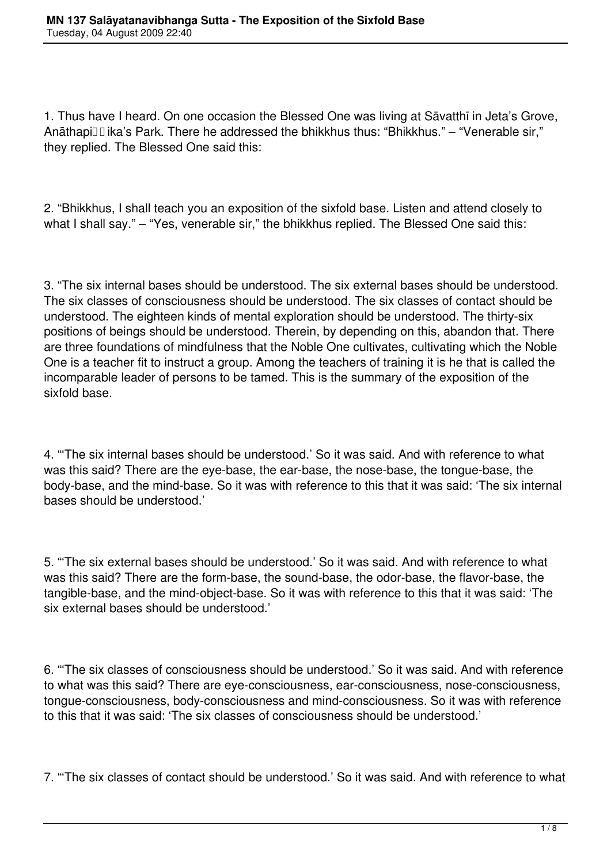1. Thus have I heard. On one occasion the Blessed One was living at Sāvatthī in Jeta's Grove, Anāthapi $\Box$ ika's Park. There he addressed the bhikkhus thus: "Bhikkhus." – "Venerable sir," they replied. The Blessed One said this:

2. "Bhikkhus, I shall teach you an exposition of the sixfold base. Listen and attend closely to what I shall say." – "Yes, venerable sir," the bhikkhus replied. The Blessed One said this:

3. "The six internal bases should be understood. The six external bases should be understood. The six classes of consciousness should be understood. The six classes of contact should be understood. The eighteen kinds of mental exploration should be understood. The thirty-six positions of beings should be understood. Therein, by depending on this, abandon that. There are three foundations of mindfulness that the Noble One cultivates, cultivating which the Noble One is a teacher fit to instruct a group. Among the teachers of training it is he that is called the incomparable leader of persons to be tamed. This is the summary of the exposition of the sixfold base.

4. "'The six internal bases should be understood.' So it was said. And with reference to what was this said? There are the eye-base, the ear-base, the nose-base, the tongue-base, the body-base, and the mind-base. So it was with reference to this that it was said: 'The six internal bases should be understood.'

5. "'The six external bases should be understood.' So it was said. And with reference to what was this said? There are the form-base, the sound-base, the odor-base, the flavor-base, the tangible-base, and the mind-object-base. So it was with reference to this that it was said: 'The six external bases should be understood.'

6. "'The six classes of consciousness should be understood.' So it was said. And with reference to what was this said? There are eye-consciousness, ear-consciousness, nose-consciousness, tongue-consciousness, body-consciousness and mind-consciousness. So it was with reference to this that it was said: 'The six classes of consciousness should be understood.'

7. "'The six classes of contact should be understood.' So it was said. And with reference to what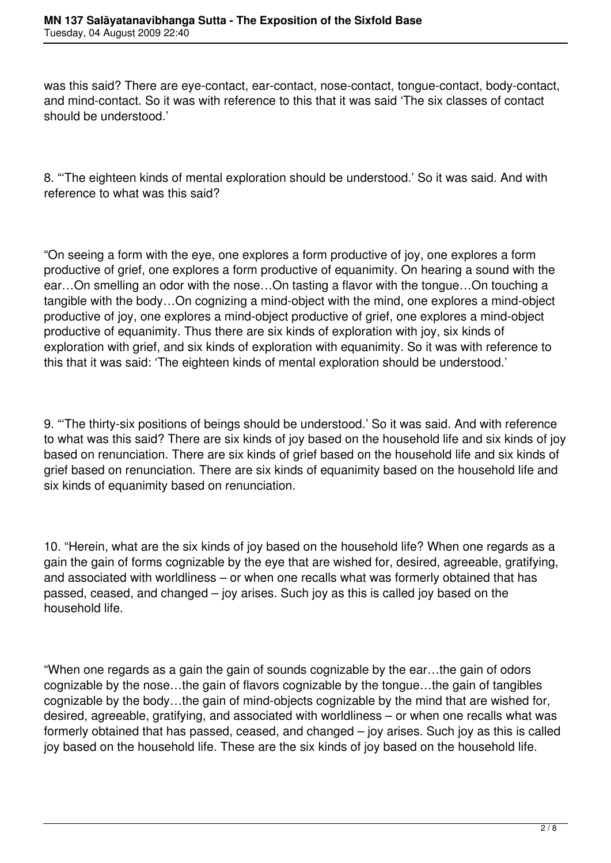was this said? There are eye-contact, ear-contact, nose-contact, tongue-contact, body-contact, and mind-contact. So it was with reference to this that it was said 'The six classes of contact should be understood.'

8. "'The eighteen kinds of mental exploration should be understood.' So it was said. And with reference to what was this said?

"On seeing a form with the eye, one explores a form productive of joy, one explores a form productive of grief, one explores a form productive of equanimity. On hearing a sound with the ear…On smelling an odor with the nose…On tasting a flavor with the tongue…On touching a tangible with the body…On cognizing a mind-object with the mind, one explores a mind-object productive of joy, one explores a mind-object productive of grief, one explores a mind-object productive of equanimity. Thus there are six kinds of exploration with joy, six kinds of exploration with grief, and six kinds of exploration with equanimity. So it was with reference to this that it was said: 'The eighteen kinds of mental exploration should be understood.'

9. "'The thirty-six positions of beings should be understood.' So it was said. And with reference to what was this said? There are six kinds of joy based on the household life and six kinds of joy based on renunciation. There are six kinds of grief based on the household life and six kinds of grief based on renunciation. There are six kinds of equanimity based on the household life and six kinds of equanimity based on renunciation.

10. "Herein, what are the six kinds of joy based on the household life? When one regards as a gain the gain of forms cognizable by the eye that are wished for, desired, agreeable, gratifying, and associated with worldliness – or when one recalls what was formerly obtained that has passed, ceased, and changed – joy arises. Such joy as this is called joy based on the household life.

"When one regards as a gain the gain of sounds cognizable by the ear…the gain of odors cognizable by the nose…the gain of flavors cognizable by the tongue…the gain of tangibles cognizable by the body…the gain of mind-objects cognizable by the mind that are wished for, desired, agreeable, gratifying, and associated with worldliness – or when one recalls what was formerly obtained that has passed, ceased, and changed – joy arises. Such joy as this is called joy based on the household life. These are the six kinds of joy based on the household life.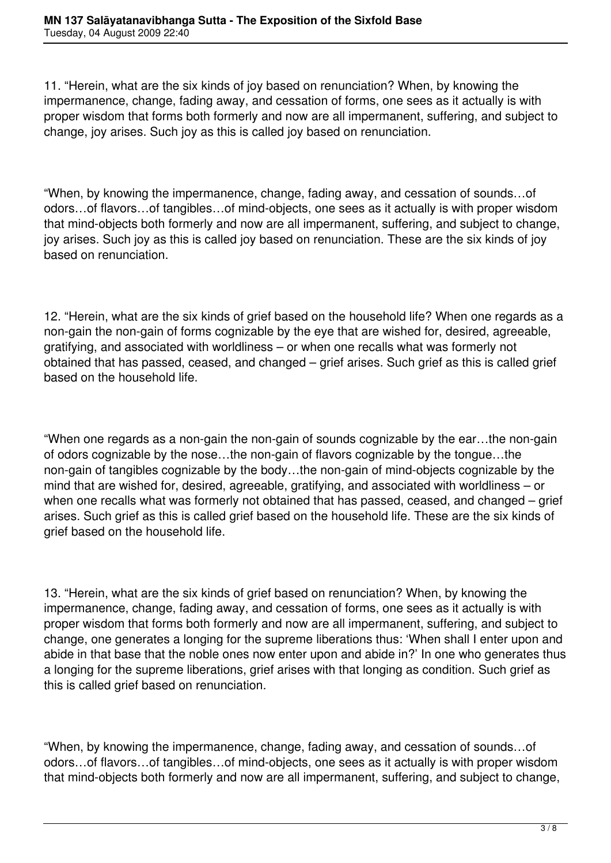11. "Herein, what are the six kinds of joy based on renunciation? When, by knowing the impermanence, change, fading away, and cessation of forms, one sees as it actually is with proper wisdom that forms both formerly and now are all impermanent, suffering, and subject to change, joy arises. Such joy as this is called joy based on renunciation.

"When, by knowing the impermanence, change, fading away, and cessation of sounds…of odors…of flavors…of tangibles…of mind-objects, one sees as it actually is with proper wisdom that mind-objects both formerly and now are all impermanent, suffering, and subject to change, joy arises. Such joy as this is called joy based on renunciation. These are the six kinds of joy based on renunciation.

12. "Herein, what are the six kinds of grief based on the household life? When one regards as a non-gain the non-gain of forms cognizable by the eye that are wished for, desired, agreeable, gratifying, and associated with worldliness – or when one recalls what was formerly not obtained that has passed, ceased, and changed – grief arises. Such grief as this is called grief based on the household life.

"When one regards as a non-gain the non-gain of sounds cognizable by the ear…the non-gain of odors cognizable by the nose…the non-gain of flavors cognizable by the tongue…the non-gain of tangibles cognizable by the body…the non-gain of mind-objects cognizable by the mind that are wished for, desired, agreeable, gratifying, and associated with worldliness – or when one recalls what was formerly not obtained that has passed, ceased, and changed – grief arises. Such grief as this is called grief based on the household life. These are the six kinds of grief based on the household life.

13. "Herein, what are the six kinds of grief based on renunciation? When, by knowing the impermanence, change, fading away, and cessation of forms, one sees as it actually is with proper wisdom that forms both formerly and now are all impermanent, suffering, and subject to change, one generates a longing for the supreme liberations thus: 'When shall I enter upon and abide in that base that the noble ones now enter upon and abide in?' In one who generates thus a longing for the supreme liberations, grief arises with that longing as condition. Such grief as this is called grief based on renunciation.

"When, by knowing the impermanence, change, fading away, and cessation of sounds…of odors…of flavors…of tangibles…of mind-objects, one sees as it actually is with proper wisdom that mind-objects both formerly and now are all impermanent, suffering, and subject to change,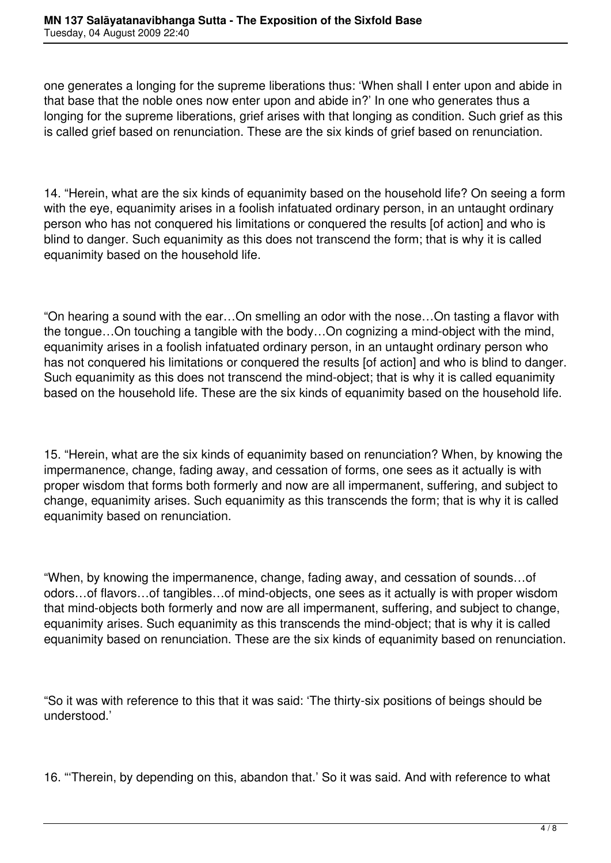one generates a longing for the supreme liberations thus: 'When shall I enter upon and abide in that base that the noble ones now enter upon and abide in?' In one who generates thus a longing for the supreme liberations, grief arises with that longing as condition. Such grief as this is called grief based on renunciation. These are the six kinds of grief based on renunciation.

14. "Herein, what are the six kinds of equanimity based on the household life? On seeing a form with the eye, equanimity arises in a foolish infatuated ordinary person, in an untaught ordinary person who has not conquered his limitations or conquered the results [of action] and who is blind to danger. Such equanimity as this does not transcend the form; that is why it is called equanimity based on the household life.

"On hearing a sound with the ear…On smelling an odor with the nose…On tasting a flavor with the tongue…On touching a tangible with the body…On cognizing a mind-object with the mind, equanimity arises in a foolish infatuated ordinary person, in an untaught ordinary person who has not conquered his limitations or conquered the results [of action] and who is blind to danger. Such equanimity as this does not transcend the mind-object; that is why it is called equanimity based on the household life. These are the six kinds of equanimity based on the household life.

15. "Herein, what are the six kinds of equanimity based on renunciation? When, by knowing the impermanence, change, fading away, and cessation of forms, one sees as it actually is with proper wisdom that forms both formerly and now are all impermanent, suffering, and subject to change, equanimity arises. Such equanimity as this transcends the form; that is why it is called equanimity based on renunciation.

"When, by knowing the impermanence, change, fading away, and cessation of sounds…of odors…of flavors…of tangibles…of mind-objects, one sees as it actually is with proper wisdom that mind-objects both formerly and now are all impermanent, suffering, and subject to change, equanimity arises. Such equanimity as this transcends the mind-object; that is why it is called equanimity based on renunciation. These are the six kinds of equanimity based on renunciation.

"So it was with reference to this that it was said: 'The thirty-six positions of beings should be understood.'

16. "'Therein, by depending on this, abandon that.' So it was said. And with reference to what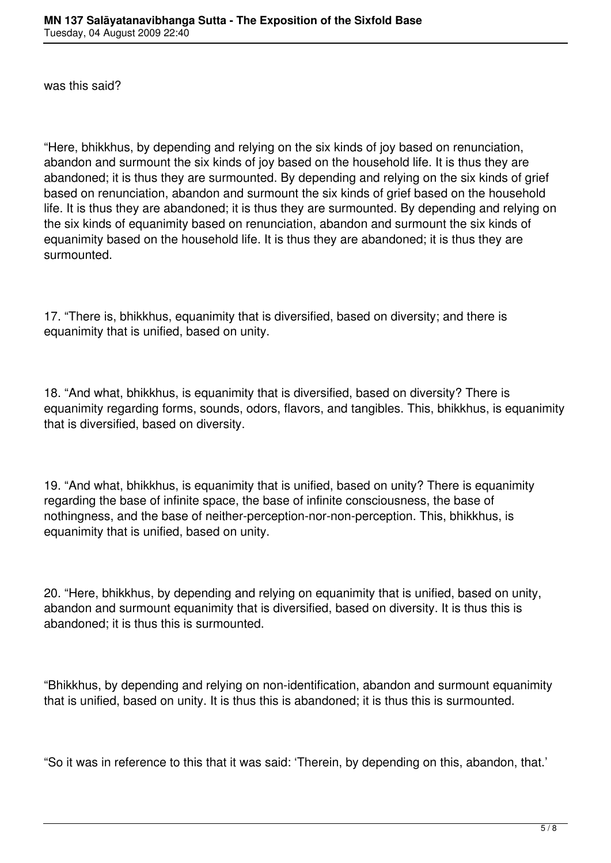was this said?

"Here, bhikkhus, by depending and relying on the six kinds of joy based on renunciation, abandon and surmount the six kinds of joy based on the household life. It is thus they are abandoned; it is thus they are surmounted. By depending and relying on the six kinds of grief based on renunciation, abandon and surmount the six kinds of grief based on the household life. It is thus they are abandoned; it is thus they are surmounted. By depending and relying on the six kinds of equanimity based on renunciation, abandon and surmount the six kinds of equanimity based on the household life. It is thus they are abandoned; it is thus they are surmounted.

17. "There is, bhikkhus, equanimity that is diversified, based on diversity; and there is equanimity that is unified, based on unity.

18. "And what, bhikkhus, is equanimity that is diversified, based on diversity? There is equanimity regarding forms, sounds, odors, flavors, and tangibles. This, bhikkhus, is equanimity that is diversified, based on diversity.

19. "And what, bhikkhus, is equanimity that is unified, based on unity? There is equanimity regarding the base of infinite space, the base of infinite consciousness, the base of nothingness, and the base of neither-perception-nor-non-perception. This, bhikkhus, is equanimity that is unified, based on unity.

20. "Here, bhikkhus, by depending and relying on equanimity that is unified, based on unity, abandon and surmount equanimity that is diversified, based on diversity. It is thus this is abandoned; it is thus this is surmounted.

"Bhikkhus, by depending and relying on non-identification, abandon and surmount equanimity that is unified, based on unity. It is thus this is abandoned; it is thus this is surmounted.

"So it was in reference to this that it was said: 'Therein, by depending on this, abandon, that.'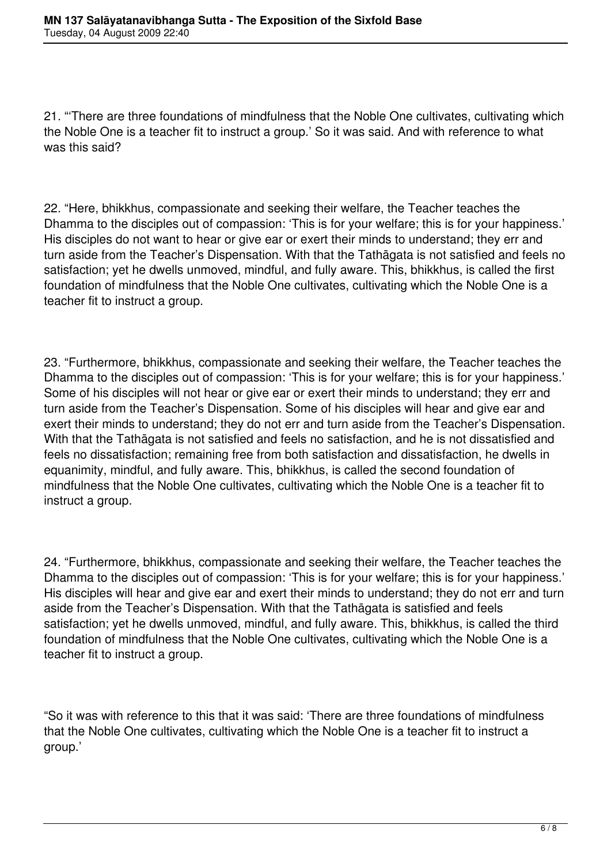21. "'There are three foundations of mindfulness that the Noble One cultivates, cultivating which the Noble One is a teacher fit to instruct a group.' So it was said. And with reference to what was this said?

22. "Here, bhikkhus, compassionate and seeking their welfare, the Teacher teaches the Dhamma to the disciples out of compassion: 'This is for your welfare; this is for your happiness.' His disciples do not want to hear or give ear or exert their minds to understand; they err and turn aside from the Teacher's Dispensation. With that the Tathāgata is not satisfied and feels no satisfaction; yet he dwells unmoved, mindful, and fully aware. This, bhikkhus, is called the first foundation of mindfulness that the Noble One cultivates, cultivating which the Noble One is a teacher fit to instruct a group.

23. "Furthermore, bhikkhus, compassionate and seeking their welfare, the Teacher teaches the Dhamma to the disciples out of compassion: 'This is for your welfare; this is for your happiness.' Some of his disciples will not hear or give ear or exert their minds to understand; they err and turn aside from the Teacher's Dispensation. Some of his disciples will hear and give ear and exert their minds to understand; they do not err and turn aside from the Teacher's Dispensation. With that the Tathāgata is not satisfied and feels no satisfaction, and he is not dissatisfied and feels no dissatisfaction; remaining free from both satisfaction and dissatisfaction, he dwells in equanimity, mindful, and fully aware. This, bhikkhus, is called the second foundation of mindfulness that the Noble One cultivates, cultivating which the Noble One is a teacher fit to instruct a group.

24. "Furthermore, bhikkhus, compassionate and seeking their welfare, the Teacher teaches the Dhamma to the disciples out of compassion: 'This is for your welfare; this is for your happiness.' His disciples will hear and give ear and exert their minds to understand; they do not err and turn aside from the Teacher's Dispensation. With that the Tathāgata is satisfied and feels satisfaction; yet he dwells unmoved, mindful, and fully aware. This, bhikkhus, is called the third foundation of mindfulness that the Noble One cultivates, cultivating which the Noble One is a teacher fit to instruct a group.

"So it was with reference to this that it was said: 'There are three foundations of mindfulness that the Noble One cultivates, cultivating which the Noble One is a teacher fit to instruct a group.'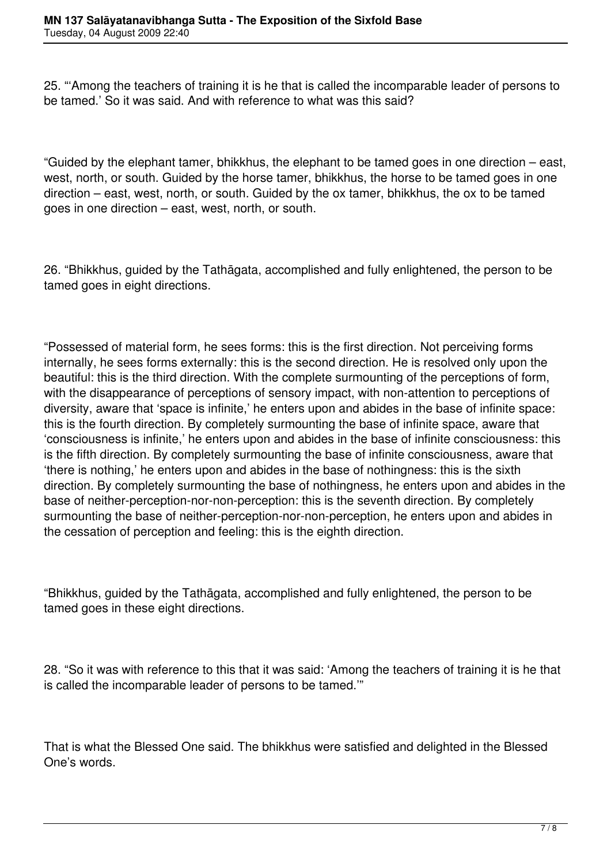25. "'Among the teachers of training it is he that is called the incomparable leader of persons to be tamed.' So it was said. And with reference to what was this said?

"Guided by the elephant tamer, bhikkhus, the elephant to be tamed goes in one direction – east, west, north, or south. Guided by the horse tamer, bhikkhus, the horse to be tamed goes in one direction – east, west, north, or south. Guided by the ox tamer, bhikkhus, the ox to be tamed goes in one direction – east, west, north, or south.

26. "Bhikkhus, guided by the Tathāgata, accomplished and fully enlightened, the person to be tamed goes in eight directions.

"Possessed of material form, he sees forms: this is the first direction. Not perceiving forms internally, he sees forms externally: this is the second direction. He is resolved only upon the beautiful: this is the third direction. With the complete surmounting of the perceptions of form, with the disappearance of perceptions of sensory impact, with non-attention to perceptions of diversity, aware that 'space is infinite,' he enters upon and abides in the base of infinite space: this is the fourth direction. By completely surmounting the base of infinite space, aware that 'consciousness is infinite,' he enters upon and abides in the base of infinite consciousness: this is the fifth direction. By completely surmounting the base of infinite consciousness, aware that 'there is nothing,' he enters upon and abides in the base of nothingness: this is the sixth direction. By completely surmounting the base of nothingness, he enters upon and abides in the base of neither-perception-nor-non-perception: this is the seventh direction. By completely surmounting the base of neither-perception-nor-non-perception, he enters upon and abides in the cessation of perception and feeling: this is the eighth direction.

"Bhikkhus, guided by the Tathāgata, accomplished and fully enlightened, the person to be tamed goes in these eight directions.

28. "So it was with reference to this that it was said: 'Among the teachers of training it is he that is called the incomparable leader of persons to be tamed.'"

That is what the Blessed One said. The bhikkhus were satisfied and delighted in the Blessed One's words.